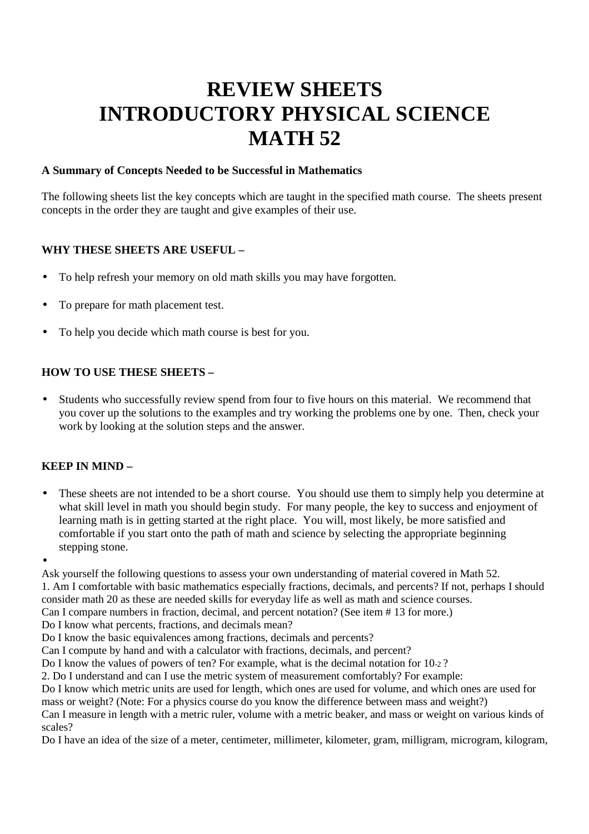# **REVIEW SHEETS INTRODUCTORY PHYSICAL SCIENCE MATH 52**

#### **A Summary of Concepts Needed to be Successful in Mathematics**

The following sheets list the key concepts which are taught in the specified math course. The sheets present concepts in the order they are taught and give examples of their use.

#### **WHY THESE SHEETS ARE USEFUL –**

- To help refresh your memory on old math skills you may have forgotten.
- To prepare for math placement test.
- To help you decide which math course is best for you.

#### **HOW TO USE THESE SHEETS –**

• Students who successfully review spend from four to five hours on this material. We recommend that you cover up the solutions to the examples and try working the problems one by one. Then, check your work by looking at the solution steps and the answer.

### **KEEP IN MIND –**

- These sheets are not intended to be a short course. You should use them to simply help you determine at what skill level in math you should begin study. For many people, the key to success and enjoyment of learning math is in getting started at the right place. You will, most likely, be more satisfied and comfortable if you start onto the path of math and science by selecting the appropriate beginning stepping stone.
- •

Ask yourself the following questions to assess your own understanding of material covered in Math 52. 1. Am I comfortable with basic mathematics especially fractions, decimals, and percents? If not, perhaps I should consider math 20 as these are needed skills for everyday life as well as math and science courses. Can I compare numbers in fraction, decimal, and percent notation? (See item # 13 for more.)

Do I know what percents, fractions, and decimals mean?

Do I know the basic equivalences among fractions, decimals and percents?

Can I compute by hand and with a calculator with fractions, decimals, and percent?

Do I know the values of powers of ten? For example, what is the decimal notation for 10-2 ?

2. Do I understand and can I use the metric system of measurement comfortably? For example:

Do I know which metric units are used for length, which ones are used for volume, and which ones are used for mass or weight? (Note: For a physics course do you know the difference between mass and weight?)

Can I measure in length with a metric ruler, volume with a metric beaker, and mass or weight on various kinds of scales?

Do I have an idea of the size of a meter, centimeter, millimeter, kilometer, gram, milligram, microgram, kilogram,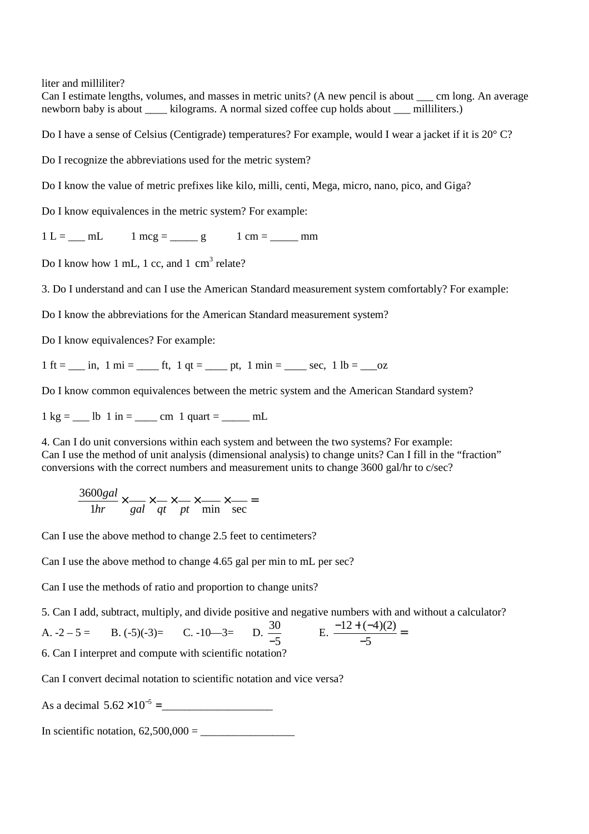liter and milliliter?

Can I estimate lengths, volumes, and masses in metric units? (A new pencil is about cm long. An average newborn baby is about \_\_\_\_ kilograms. A normal sized coffee cup holds about \_\_\_ milliliters.)

Do I have a sense of Celsius (Centigrade) temperatures? For example, would I wear a jacket if it is 20° C?

Do I recognize the abbreviations used for the metric system?

Do I know the value of metric prefixes like kilo, milli, centi, Mega, micro, nano, pico, and Giga?

Do I know equivalences in the metric system? For example:

 $1 L =$   $mL$   $1 mcg =$   $g$   $1 cm =$   $mm$ 

Do I know how 1 mL, 1 cc, and 1  $\text{cm}^3$  relate?

3. Do I understand and can I use the American Standard measurement system comfortably? For example:

Do I know the abbreviations for the American Standard measurement system?

Do I know equivalences? For example:

1 ft =  $\ln 1$  mi =  $\ln 1$  ft, 1 qt =  $\ln 1$  min =  $\ln 1$  sec, 1 lb =  $\ln 2$ 

Do I know common equivalences between the metric system and the American Standard system?

 $1 \text{ kg} =$  \_\_\_ lb  $1 \text{ in} =$  \_\_\_\_ cm  $1 \text{ quart} =$  \_\_\_\_\_ mL

4. Can I do unit conversions within each system and between the two systems? For example: Can I use the method of unit analysis (dimensional analysis) to change units? Can I fill in the "fraction" conversions with the correct numbers and measurement units to change 3600 gal/hr to c/sec?

3600*gal* 1*hr* × *gal* × *qt* × *pt* × min × sec =

Can I use the above method to change 2.5 feet to centimeters?

Can I use the above method to change 4.65 gal per min to mL per sec?

Can I use the methods of ratio and proportion to change units?

5. Can I add, subtract, multiply, and divide positive and negative numbers with and without a calculator?

D.  $\frac{30}{-5}$ 

A.  $-2 - 5 =$  B.  $(-5)(-3) =$  C.  $-10-3=$ 

$$
E. \frac{-12 + (-4)(2)}{-5} =
$$

6. Can I interpret and compute with scientific notation?

Can I convert decimal notation to scientific notation and vice versa?

As a decimal 5.62 ×10<sup>−</sup><sup>5</sup> =\_\_\_\_\_\_\_\_\_\_\_\_\_\_\_\_\_\_\_\_

In scientific notation,  $62,500,000 =$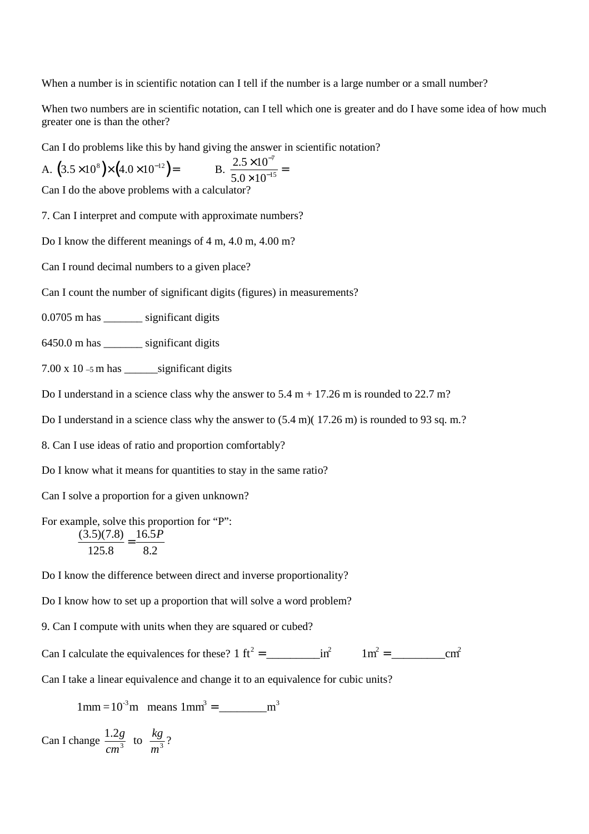When a number is in scientific notation can I tell if the number is a large number or a small number?

When two numbers are in scientific notation, can I tell which one is greater and do I have some idea of how much greater one is than the other?

Can I do problems like this by hand giving the answer in scientific notation?

A. 
$$
(3.5 \times 10^8) \times (4.0 \times 10^{-12}) =
$$
 B.  $\frac{2.5 \times 10^{-7}}{5.0 \times 10^{-15}} =$ 

Can I do the above problems with a calculator?

7. Can I interpret and compute with approximate numbers?

Do I know the different meanings of 4 m, 4.0 m, 4.00 m?

Can I round decimal numbers to a given place?

Can I count the number of significant digits (figures) in measurements?

0.0705 m has \_\_\_\_\_\_\_ significant digits

6450.0 m has \_\_\_\_\_\_\_ significant digits

7.00 x 10 –5 m has \_\_\_\_\_\_significant digits

Do I understand in a science class why the answer to  $5.4 \text{ m} + 17.26 \text{ m}$  is rounded to  $22.7 \text{ m}$ ?

Do I understand in a science class why the answer to  $(5.4 \text{ m})$  (17.26 m) is rounded to 93 sq. m.?

8. Can I use ideas of ratio and proportion comfortably?

Do I know what it means for quantities to stay in the same ratio?

Can I solve a proportion for a given unknown?

For example, solve this proportion for "P":

$$
\frac{(3.5)(7.8)}{125.8} = \frac{16.5P}{8.2}
$$

Do I know the difference between direct and inverse proportionality?

Do I know how to set up a proportion that will solve a word problem?

9. Can I compute with units when they are squared or cubed?

Can I calculate the equivalences for these? 1 ft<sup>2</sup> = \_\_\_\_\_\_\_\_\_in<sup>2</sup> 1m<sup>2</sup> = \_\_\_\_\_\_\_\_\_cm<sup>2</sup>

Can I take a linear equivalence and change it to an equivalence for cubic units?

1mm =10-3m means 1mm<sup>3</sup> = \_\_\_\_\_\_\_\_m<sup>3</sup>

Can I change  $\frac{1.2g}{\frac{3}{2}}$  $\frac{1.2g}{cm^3}$  to  $\frac{kg}{m^3}$  $\frac{nS}{m^3}$ ?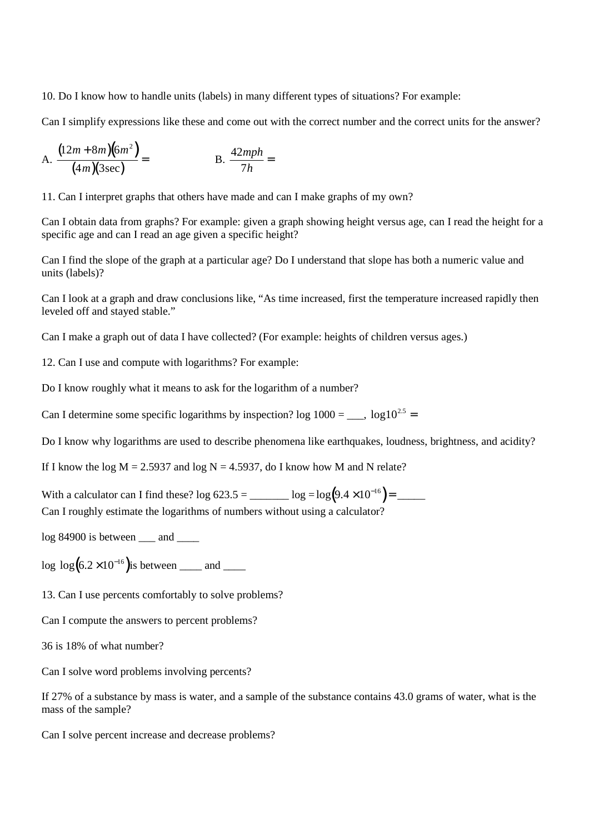10. Do I know how to handle units (labels) in many different types of situations? For example:

Can I simplify expressions like these and come out with the correct number and the correct units for the answer?

A. 
$$
\frac{(12m + 8m)(6m^2)}{(4m)(3sec)} = B. \frac{42mph}{7h} =
$$

11. Can I interpret graphs that others have made and can I make graphs of my own?

Can I obtain data from graphs? For example: given a graph showing height versus age, can I read the height for a specific age and can I read an age given a specific height?

Can I find the slope of the graph at a particular age? Do I understand that slope has both a numeric value and units (labels)?

Can I look at a graph and draw conclusions like, "As time increased, first the temperature increased rapidly then leveled off and stayed stable."

Can I make a graph out of data I have collected? (For example: heights of children versus ages.)

12. Can I use and compute with logarithms? For example:

Do I know roughly what it means to ask for the logarithm of a number?

Can I determine some specific logarithms by inspection? log  $1000 =$  \_\_\_, log10<sup>2.5</sup> =

Do I know why logarithms are used to describe phenomena like earthquakes, loudness, brightness, and acidity?

If I know the log  $M = 2.5937$  and log  $N = 4.5937$ , do I know how M and N relate?

With a calculator can I find these? log 623.5 = \_\_\_\_\_\_ log =log $(9.4 \times 10^{-16})$  = \_\_\_\_\_

Can I roughly estimate the logarithms of numbers without using a calculator?

 $log 84900$  is between and

log  $\log (6.2 \times 10^{-16})$  is between \_\_\_\_ and \_\_\_\_

13. Can I use percents comfortably to solve problems?

Can I compute the answers to percent problems?

36 is 18% of what number?

Can I solve word problems involving percents?

If 27% of a substance by mass is water, and a sample of the substance contains 43.0 grams of water, what is the mass of the sample?

Can I solve percent increase and decrease problems?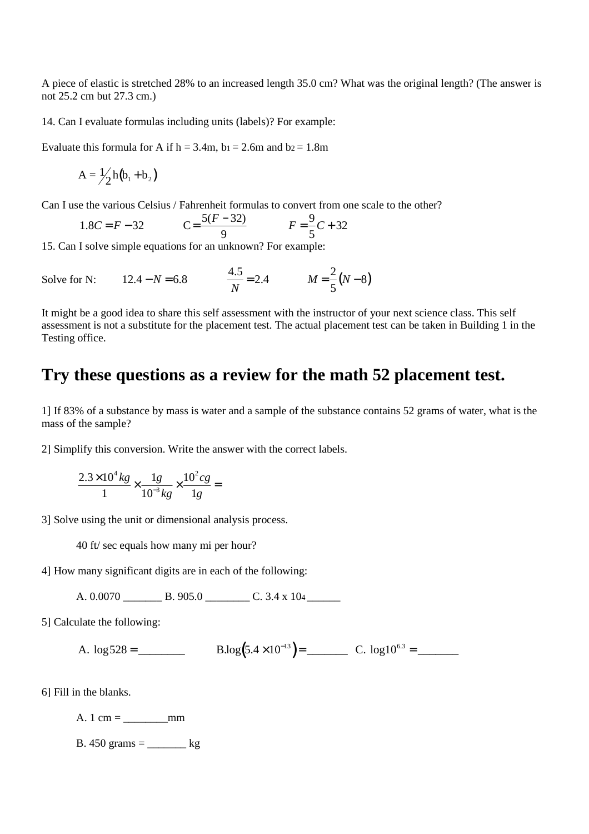A piece of elastic is stretched 28% to an increased length 35.0 cm? What was the original length? (The answer is not 25.2 cm but 27.3 cm.)

14. Can I evaluate formulas including units (labels)? For example:

Evaluate this formula for A if  $h = 3.4$ m,  $b_1 = 2.6$ m and  $b_2 = 1.8$ m

$$
A = \frac{1}{2}h(b_1 + b_2)
$$

Can I use the various Celsius / Fahrenheit formulas to convert from one scale to the other?

1.8*C* = *F* – 32 
$$
C = \frac{5(F - 32)}{9}
$$
  $F = \frac{9}{5}C + 32$ 

15. Can I solve simple equations for an unknown? For example:

Solve for N: 
$$
12.4 - N = 6.8
$$
  $\frac{4.5}{N} = 2.4$   $M = \frac{2}{5}(N-8)$ 

It might be a good idea to share this self assessment with the instructor of your next science class. This self assessment is not a substitute for the placement test. The actual placement test can be taken in Building 1 in the Testing office.

## **Try these questions as a review for the math 52 placement test.**

1] If 83% of a substance by mass is water and a sample of the substance contains 52 grams of water, what is the mass of the sample?

2] Simplify this conversion. Write the answer with the correct labels.

$$
\frac{2.3 \times 10^4 \text{ kg}}{1} \times \frac{1g}{10^{-3} \text{ kg}} \times \frac{10^2 \text{ cg}}{1g} =
$$

3] Solve using the unit or dimensional analysis process.

40 ft/ sec equals how many mi per hour?

4] How many significant digits are in each of the following:

A.  $0.0070$  B. 905.0 C. 3.4 x 104

5] Calculate the following:

A.  $\log 528 = \underline{\hspace{1cm}}$  B.log  $(5.4 \times 10^{-13}) = \underline{\hspace{1cm}}$  C.  $\log 10^{6.3} = \underline{\hspace{1cm}}$ 

6] Fill in the blanks.

A.  $1 \text{ cm} = \_ \text{mm}$ 

B. 450 grams  $=$   $\qquad \qquad$  kg